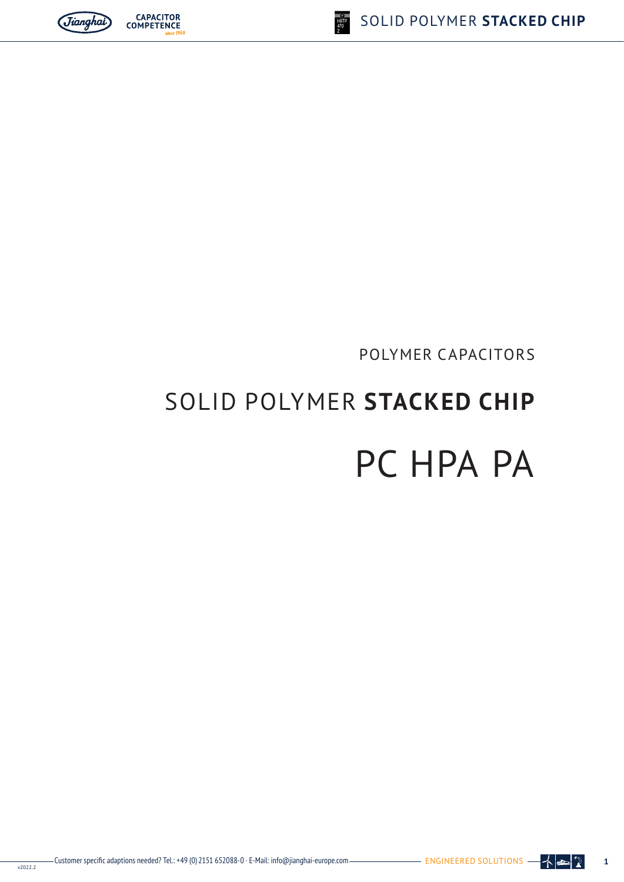

# SOLID POLYMER **STACKED CHIP** PC HPA PA

# POLYMER CAPACITORS



**CAPACITOR**<br>COMPETENCE



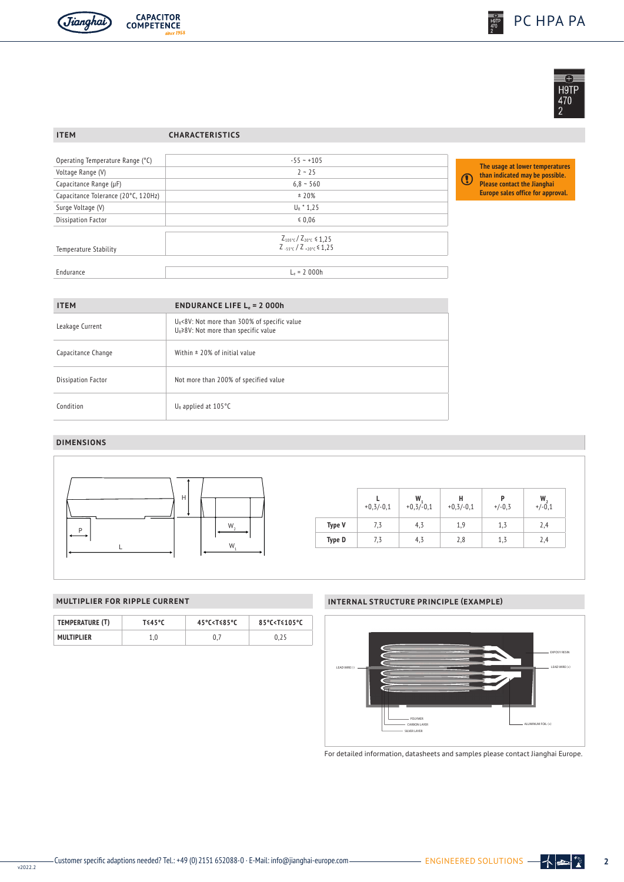



## **ITEM CHARACTERISTICS**

| Operating Temperature Range (°C)    | $-55 - +105$                                                                  |  |  |  |  |  |  |
|-------------------------------------|-------------------------------------------------------------------------------|--|--|--|--|--|--|
| Voltage Range (V)                   | $2 - 25$                                                                      |  |  |  |  |  |  |
| Capacitance Range (µF)              | $6.8 - 560$                                                                   |  |  |  |  |  |  |
| Capacitance Tolerance (20°C, 120Hz) | ± 20%                                                                         |  |  |  |  |  |  |
| Surge Voltage (V)                   | $U_R$ * 1,25                                                                  |  |  |  |  |  |  |
| <b>Dissipation Factor</b>           | \$0,06                                                                        |  |  |  |  |  |  |
| <b>Temperature Stability</b>        | $Z_{105\degree C}/Z_{20\degree C} \le 1,25$<br>$Z_{.55\%}/Z_{.20\%}\leq 1.25$ |  |  |  |  |  |  |
| Endurance                           | $L_e = 2000h$                                                                 |  |  |  |  |  |  |

**The usage at lower temperatures than indicated may be possible. Please contact the Jianghai Europe sales office for approval.**  $\mathbf T$ 

| <b>ITEM</b>               | <b>ENDURANCE LIFE L<sub><math>e</math></sub> = 2 000h</b>                                      |
|---------------------------|------------------------------------------------------------------------------------------------|
| Leakage Current           | $U_R$ <8V: Not more than 300% of specific value<br>$U_R \ge 8V$ : Not more than specific value |
| Capacitance Change        | Within $\pm$ 20% of initial value                                                              |
| <b>Dissipation Factor</b> | Not more than 200% of specified value                                                          |
| Condition                 | $U_R$ applied at 105 $\degree$ C                                                               |

## **DIMENSIONS**



| TEMPERATURE (T)   | T≤45°C | 45°C <t§85°c< th=""><th colspan="4">85°C<t≼105°c< th=""></t≼105°c<></th></t§85°c<> | 85°C <t≼105°c< th=""></t≼105°c<> |  |  |  |
|-------------------|--------|------------------------------------------------------------------------------------|----------------------------------|--|--|--|
| <b>MULTIPLIER</b> |        |                                                                                    |                                  |  |  |  |

## **MULTIPLIER FOR RIPPLE CURRENT INTERNAL STRUCTURE PRINCIPLE (EXAMPLE)**



For detailed information, datasheets and samples please contact Jianghai Europe.

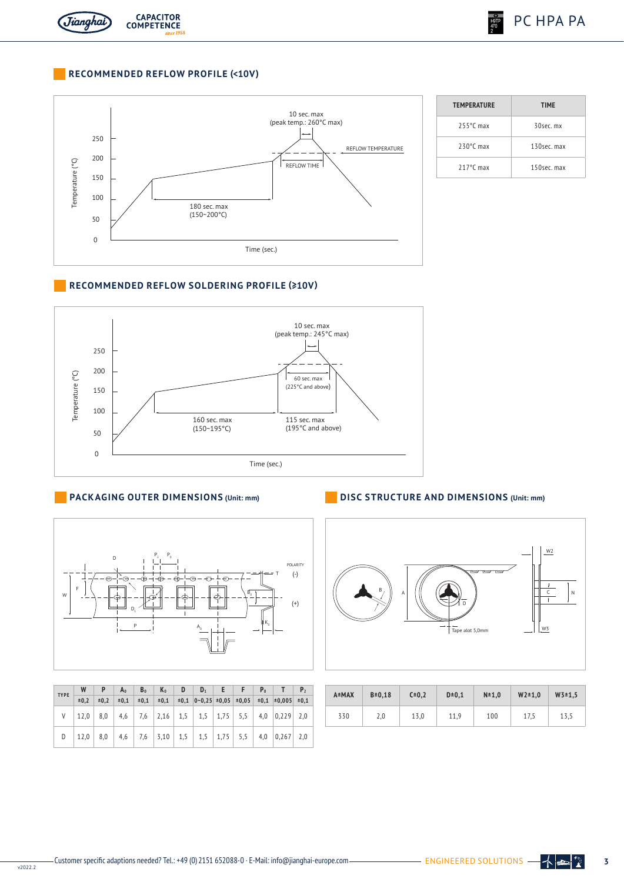

## **RECOMMENDED REFLOW PROFILE (<10V)**



| <b>TEMPERATURE</b>  | <b>TIME</b> |
|---------------------|-------------|
| $255^{\circ}$ C max | 30sec.mx    |
| $230^{\circ}$ C max | 130sec. max |
| $217^{\circ}$ C max | 150sec. max |

## **RECOMMENDED REFLOW SOLDERING PROFILE (≥10V)**



## **PACKAGING OUTER DIMENSIONS (Unit: mm)**



| <b>TYPE</b> |  |  |  |  |  | W P A <sub>0</sub> B <sub>0</sub> K <sub>0</sub> D D <sub>1</sub> E F P <sub>0</sub> T P <sub>2</sub><br>$\pm 0.2$ $\pm 0.2$ $\pm 0.1$ $\pm 0.1$ $\pm 0.1$ $\pm 0.1$ $\pm 0.02$ $\pm 0.05$ $\pm 0.05$ $\pm 0.05$ $\pm 0.05$ $\pm 0.05$ |  |
|-------------|--|--|--|--|--|----------------------------------------------------------------------------------------------------------------------------------------------------------------------------------------------------------------------------------------|--|
|             |  |  |  |  |  |                                                                                                                                                                                                                                        |  |
|             |  |  |  |  |  | $V$   12,0   8,0   4,6   7,6   2,16   1,5   1,5   1,75   5,5   4,0   0,229   2,0                                                                                                                                                       |  |
|             |  |  |  |  |  | D   12,0   8,0   4,6   7,6   3,10   1,5   1,5   1,75   5,5   4,0   0,267   2,0                                                                                                                                                         |  |

## **DISC STRUCTURE AND DIMENSIONS (Unit: mm)**



| A±MAX | $B = 0, 18$ | $C = 0, 2$ |      | $N = 1,0$ | $W2 = 1,0$ | $W3 = 1,5$ |  |  |
|-------|-------------|------------|------|-----------|------------|------------|--|--|
| 330   | 2,0         | 13,0       | 11,9 | 100       | 17,5       | 13,5       |  |  |

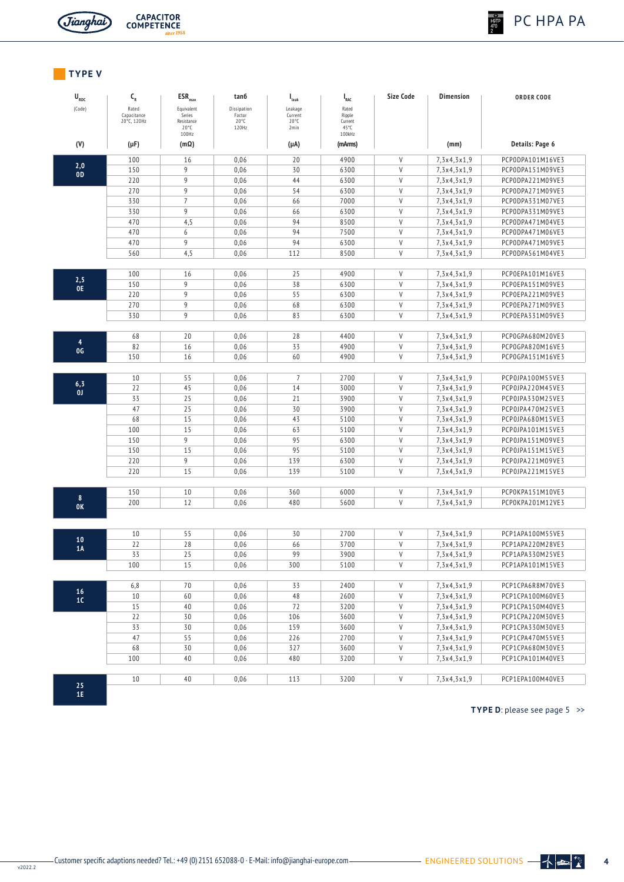

**CAPACITOR**<br>COMPETENCE

## **TYPE V**

| $\bm{\mathsf{U}}_{_{\mathsf{RDC}}}$ | $\mathsf{C}_{\mathsf{R}}$  | $ESR_{max}$             | tan6                     | $\mathsf{I}_{\mathsf{leak}}$ | $I_{RAC}$         | Size Code    | Dimension   | <b>ORDER CODE</b> |
|-------------------------------------|----------------------------|-------------------------|--------------------------|------------------------------|-------------------|--------------|-------------|-------------------|
| (Code)                              | Rated                      | Equivalent              | Dissipation              | Leakage                      | Rated             |              |             |                   |
|                                     | Capacitance<br>20°C, 120Hz | Series<br>Resistance    | Factor<br>$20^{\circ}$ C | Current<br>$20^{\circ}$ C    | Ripple<br>Current |              |             |                   |
|                                     |                            | $20^{\circ}$ C<br>100Hz | 120Hz                    | 2min                         | 45°C<br>100kHz    |              |             |                   |
| (V)                                 | $(\mu F)$                  | $(m\Omega)$             |                          | $(\mu A)$                    | (mArms)           |              | (mm)        | Details: Page 6   |
|                                     | 100                        | 16                      | 0,06                     | 20                           | 4900              | V            | 7,3x4,3x1,9 | PCP0DPA101M16VE3  |
| 2,0<br>0D                           | 150                        | 9                       | 0,06                     | 30                           | 6300              | $\mathsf{V}$ | 7,3x4,3x1,9 | PCPODPA151M09VE3  |
|                                     | 220                        | 9                       | 0,06                     | 44                           | 6300              | $\vee$       | 7,3x4,3x1,9 | PCPODPA221M09VE3  |
|                                     | 270                        | 9                       | 0,06                     | 54                           | 6300              | V            | 7,3x4,3x1,9 | PCPODPA271M09VE3  |
|                                     | 330                        | $\overline{7}$          | 0,06                     | 66                           | 7000              | $\mathsf{V}$ | 7,3x4,3x1,9 | PCP0DPA331M07VE3  |
|                                     | 330                        | 9                       | 0,06                     | 66                           | 6300              | $\vee$       | 7,3x4,3x1,9 | PCPODPA331M09VE3  |
|                                     | 470                        | 4,5                     | 0,06                     | 94                           | 8500              | $\vee$       | 7,3x4,3x1,9 | PCP0DPA471M04VE3  |
|                                     | 470                        | 6                       | 0,06                     | 94                           | 7500              | $\mathsf{V}$ | 7,3x4,3x1,9 | PCPODPA471M06VE3  |
|                                     | 470                        | 9                       | 0,06                     | 94                           | 6300              | $\vee$       | 7,3x4,3x1,9 | PCP0DPA471M09VE3  |
|                                     | 560                        | 4,5                     | 0,06                     | 112                          | 8500              | V            | 7,3x4,3x1,9 | PCP0DPA561M04VE3  |
|                                     | 100                        | 16                      | 0,06                     | 25                           | 4900              | $\mathsf{V}$ | 7,3x4,3x1,9 | PCP0EPA101M16VE3  |
| 2,5                                 | 150                        | 9                       | 0,06                     | 38                           | 6300              | $\mathsf V$  | 7,3x4,3x1,9 | PCP0EPA151M09VE3  |
| 0E                                  | 220                        | 9                       | 0,06                     | 55                           | 6300              | $\mathsf V$  | 7,3x4,3x1,9 | PCP0EPA221M09VE3  |
|                                     | 270                        | 9                       | 0,06                     | 68                           | 6300              | V            | 7,3x4,3x1,9 | PCP0EPA271M09VE3  |
|                                     | 330                        | 9                       | 0,06                     | 83                           | 6300              | $\vee$       | 7,3x4,3x1,9 | PCP0EPA331M09VE3  |
|                                     |                            |                         |                          |                              |                   |              |             |                   |
| 4                                   | 68                         | 20                      | 0,06                     | 28                           | 4400              | $\mathsf{V}$ | 7,3x4,3x1,9 | PCP0GPA680M20VE3  |
| OG                                  | 82                         | 16                      | 0,06                     | 33                           | 4900              | $\mathsf V$  | 7,3x4,3x1,9 | PCP0GPA820M16VE3  |
|                                     | 150                        | 16                      | 0,06                     | 60                           | 4900              | $\vee$       | 7,3x4,3x1,9 | PCP0GPA151M16VE3  |
|                                     | 10                         | 55                      | 0,06                     | $\overline{7}$               | 2700              | $\mathsf V$  | 7,3x4,3x1,9 | PCP0JPA100M55VE3  |
| 6,3                                 | 22                         | 45                      | 0,06                     | 14                           | 3000              | $\mathsf V$  | 7,3x4,3x1,9 | PCP0JPA220M45VE3  |
| 0 <sub>J</sub>                      | 33                         | 25                      | 0,06                     | 21                           | 3900              | $\mathsf V$  | 7,3x4,3x1,9 | PCP0JPA330M25VE3  |
|                                     | 47                         | 25                      | 0,06                     | 30                           | 3900              | V            | 7,3x4,3x1,9 | PCP0JPA470M25VE3  |
|                                     | 68                         | 15                      | 0,06                     | 43                           | 5100              | $\vee$       | 7,3x4,3x1,9 | PCP0JPA680M15VE3  |
|                                     | 100                        | 15                      | 0,06                     | 63                           | 5100              | $\mathsf V$  | 7,3x4,3x1,9 | PCP0JPA101M15VE3  |
|                                     | 150                        | 9                       | 0,06                     | 95                           | 6300              | $\mathsf{V}$ | 7,3x4,3x1,9 | PCP0JPA151M09VE3  |
|                                     | 150                        | 15                      | 0,06                     | 95                           | 5100              | $\vee$       | 7,3x4,3x1,9 | PCP0JPA151M15VE3  |
|                                     | 220                        | 9                       | 0,06                     | 139                          | 6300              | $\mathsf V$  | 7,3x4,3x1,9 | PCP0JPA221M09VE3  |
|                                     | 220                        | 15                      | 0,06                     | 139                          | 5100              | V            | 7,3x4,3x1,9 | PCP0JPA221M15VE3  |
|                                     | 150                        | 10                      | 0,06                     | 360                          | 6000              | V            | 7,3x4,3x1,9 | PCP0KPA151M10VE3  |
| 8<br>0K                             | 200                        | 12                      | 0,06                     | 480                          | 5600              | V            | 7,3x4,3x1,9 | PCP0KPA201M12VE3  |
|                                     |                            |                         |                          |                              |                   |              |             |                   |
|                                     | 10                         | 55                      | 0,06                     | 30                           | 2700              | V            | 7,3x4,3x1,9 | PCP1APA100M55VE3  |
| 10                                  | 22                         | 28                      | 0,06                     | 66                           | 3700              | $\vee$       | 7,3x4,3x1,9 | PCP1APA220M28VE3  |
| 1A                                  | 33                         | 25                      | 0,06                     | 99                           | 3900              | $\vee$       | 7,3x4,3x1,9 | PCP1APA330M25VE3  |
|                                     | 100                        | 15                      | 0,06                     | 300                          | 5100              | $\mathsf{V}$ | 7,3x4,3x1,9 | PCP1APA101M15VE3  |
|                                     |                            |                         |                          |                              |                   |              |             |                   |
|                                     | 6,8                        | 70                      | 0,06                     | 33                           | 2400              | V            | 7,3x4,3x1,9 | PCP1CPA6R8M70VE3  |
| 16<br>$1\mathsf{C}$                 | 10                         | 60                      | 0,06                     | 48                           | 2600              | $\mathsf{V}$ | 7,3x4,3x1,9 | PCP1CPA100M60VE3  |
|                                     | 15                         | 40                      | 0,06                     | 72                           | 3200              | $\mathsf{V}$ | 7,3x4,3x1,9 | PCP1CPA150M40VE3  |
|                                     | 22                         | 30                      | 0,06                     | 106                          | 3600              | V            | 7,3x4,3x1,9 | PCP1CPA220M30VE3  |
|                                     | 33                         | 30                      | 0,06                     | 159                          | 3600              | $\mathsf{V}$ | 7,3x4,3x1,9 | PCP1CPA330M30VE3  |
|                                     | 47                         | 55                      | 0,06                     | 226                          | 2700              | $\mathsf{V}$ | 7,3x4,3x1,9 | PCP1CPA470M55VE3  |
|                                     | 68                         | 30                      | 0,06                     | 327                          | 3600              | V            | 7,3x4,3x1,9 | PCP1CPA680M30VE3  |
|                                     | 100                        | 40                      | 0,06                     | 480                          | 3200              | V            | 7,3x4,3x1,9 | PCP1CPA101M40VE3  |
|                                     | 10                         | 40                      | 0,06                     | 113                          | 3200              | V            | 7,3x4,3x1,9 | PCP1EPA100M40VE3  |
| 25<br>$1\mathsf{E}$                 |                            |                         |                          |                              |                   |              |             |                   |
|                                     |                            |                         |                          |                              |                   |              |             |                   |

**TYPE D**: please see page 5 >>

 $H9TP$ <br> $470$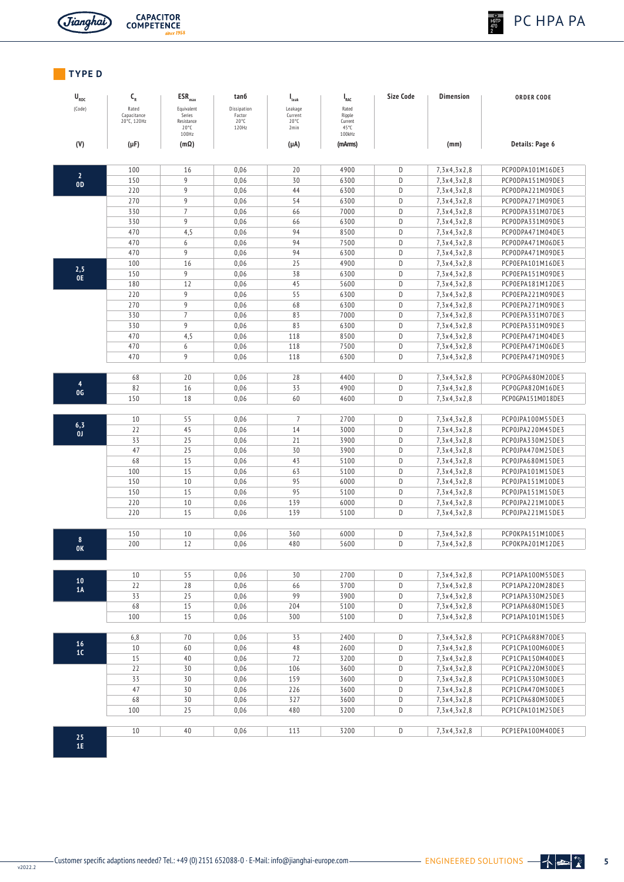



**CAPACITOR**<br>COMPETENCE

# **TYPE D**

| $\mathbf{U}_{_{\mathrm{RDC}}}$                     | $C_R^{\dagger}$            | $ESR_{max}$             | tan6                     | $\mathsf{I}_{\mathsf{leak}}$ | $I_{RAC}$         | <b>Size Code</b> | <b>Dimension</b>           | <b>ORDER CODE</b>                    |
|----------------------------------------------------|----------------------------|-------------------------|--------------------------|------------------------------|-------------------|------------------|----------------------------|--------------------------------------|
| (Code)                                             | Rated                      | Equivalent              | Dissipation              | Leakage                      | Rated             |                  |                            |                                      |
|                                                    | Capacitance<br>20°C, 120Hz | Series<br>Resistance    | Factor<br>$20^{\circ}$ C | Current<br>$20^{\circ}$ C    | Ripple<br>Current |                  |                            |                                      |
|                                                    |                            | $20^{\circ}$ C<br>100Hz | 120Hz                    | 2min                         | 45°C<br>100kHz    |                  |                            |                                      |
| (V)                                                | $(\mu F)$                  | $(m\Omega)$             |                          | $(\mu A)$                    | (mArms)           |                  | (mm)                       | Details: Page 6                      |
|                                                    |                            |                         |                          |                              |                   |                  |                            |                                      |
|                                                    |                            |                         |                          |                              |                   |                  |                            | PCP0DPA101M16DE3                     |
| $\overline{2}$                                     | 100                        | 16                      | 0,06                     | 20                           | 4900              | D                | 7,3x4,3x2,8                |                                      |
| 0 <sub>D</sub>                                     | 150<br>220                 | 9<br>9                  | 0,06                     | 30                           | 6300              | D<br>D           | 7,3x4,3x2,8                | PCP0DPA151M09DE3                     |
|                                                    |                            |                         | 0,06                     | 44                           | 6300              |                  | 7,3x4,3x2,8                | PCP0DPA221M09DE3                     |
|                                                    | 270<br>330                 | 9<br>$\overline{7}$     | 0,06                     | 54<br>66                     | 6300<br>7000      | D<br>D           | 7,3x4,3x2,8                | PCP0DPA271M09DE3                     |
|                                                    |                            | 9                       | 0,06                     |                              |                   |                  | 7,3x4,3x2,8                | PCP0DPA331M07DE3                     |
|                                                    | 330<br>470                 |                         | 0,06                     | 66<br>94                     | 6300              | D<br>D           | 7,3x4,3x2,8                | PCP0DPA331M09DE3                     |
|                                                    | 470                        | 4,5<br>6                | 0,06                     | 94                           | 8500<br>7500      | D                | 7,3x4,3x2,8                | PCP0DPA471M04DE3<br>PCP0DPA471M06DE3 |
|                                                    | 470                        | 9                       | 0,06<br>0,06             | 94                           | 6300              | D                | 7,3x4,3x2,8<br>7,3x4,3x2,8 | PCP0DPA471M09DE3                     |
|                                                    | 100                        | 16                      | 0,06                     | 25                           | 4900              | $\mathsf{D}%$    | 7,3x4,3x2,8                | PCP0EPA101M16DE3                     |
| 2,5                                                | 150                        | 9                       | 0,06                     | 38                           | 6300              | D                | 7,3x4,3x2,8                | PCP0EPA151M09DE3                     |
| 0E                                                 | 180                        | 12                      | 0,06                     | 45                           | 5600              | $\mathsf{D}%$    | 7,3x4,3x2,8                | PCP0EPA181M12DE3                     |
|                                                    | 220                        | 9                       | 0,06                     | 55                           | 6300              | $\mathsf{D}%$    | 7,3x4,3x2,8                | PCP0EPA221M09DE3                     |
|                                                    | 270                        | 9                       | 0,06                     | 68                           | 6300              | D                | 7,3x4,3x2,8                | PCP0EPA271M09DE3                     |
|                                                    | 330                        | $\overline{7}$          | 0,06                     | 83                           | 7000              | D                | 7,3x4,3x2,8                | PCP0EPA331M07DE3                     |
|                                                    | 330                        | 9                       | 0,06                     | 83                           | 6300              | D                | 7,3x4,3x2,8                | PCP0EPA331M09DE3                     |
|                                                    | 470                        | 4,5                     | 0,06                     | 118                          | 8500              | $\mathsf{D}%$    | 7,3x4,3x2,8                | PCP0EPA471M04DE3                     |
|                                                    | 470                        | 6                       | 0,06                     | 118                          | 7500              | D                | 7,3x4,3x2,8                | PCP0EPA471M06DE3                     |
|                                                    | 470                        | 9                       | 0,06                     | 118                          | 6300              | D                | 7,3x4,3x2,8                | PCP0EPA471M09DE3                     |
|                                                    |                            |                         |                          |                              |                   |                  |                            |                                      |
|                                                    | 68                         | 20                      | 0,06                     | 28                           | 4400              | D                | 7,3x4,3x2,8                | PCP0GPA680M20DE3                     |
| 4<br>OG                                            | 82                         | 16                      | 0,06                     | 33                           | 4900              | D                | 7,3x4,3x2,8                | PCP0GPA820M16DE3                     |
|                                                    | 150                        | 18                      | 0,06                     | 60                           | 4600              | D                | 7,3x4,3x2,8                | PCP0GPA151M018DE3                    |
|                                                    |                            |                         |                          |                              |                   |                  |                            |                                      |
|                                                    | 10                         | 55                      | 0,06                     | $\overline{7}$               | 2700              | D                | 7,3x4,3x2,8                | PCP0JPA100M55DE3                     |
| $\boldsymbol{6}, \boldsymbol{3}$<br>0 <sub>J</sub> | 22                         | 45                      | 0,06                     | 14                           | 3000              | D                | 7,3x4,3x2,8                | PCP0JPA220M45DE3                     |
|                                                    | 33                         | 25                      | 0,06                     | 21                           | 3900              | D                | 7,3x4,3x2,8                | PCP0JPA330M25DE3                     |
|                                                    | 47                         | 25                      | 0,06                     | 30                           | 3900              | D                | 7,3x4,3x2,8                | PCP0JPA470M25DE3                     |
|                                                    | 68                         | 15                      | 0,06                     | 43                           | 5100              | D                | 7,3x4,3x2,8                | PCP0JPA680M15DE3                     |
|                                                    | 100                        | 15                      | 0,06                     | 63                           | 5100              | D                | 7,3x4,3x2,8                | PCP0JPA101M15DE3                     |
|                                                    | 150                        | 10                      | 0,06                     | 95                           | 6000              | $\mathsf{D}%$    | 7,3x4,3x2,8                | PCP0JPA151M10DE3                     |
|                                                    | 150                        | 15                      | 0,06                     | 95                           | 5100              | D                | 7,3x4,3x2,8                | PCP0JPA151M15DE3                     |
|                                                    | 220                        | 10                      | 0,06                     | 139                          | 6000              | D                | 7,3x4,3x2,8                | PCP0JPA221M10DE3                     |
|                                                    | 220                        | 15                      | 0,06                     | 139                          | 5100              | D                | 7, 3x4, 3x2, 8             | PCP0JPA221M15DE3                     |
|                                                    |                            |                         |                          |                              |                   |                  |                            |                                      |
| $\pmb{8}$                                          | 150                        | 10                      | 0,06                     | 360                          | 6000              | D                | 7,3x4,3x2,8                | PCP0KPA151M10DE3                     |
| 0K                                                 | 200                        | 12                      | 0,06                     | 480                          | 5600              | D                | 7,3x4,3x2,8                | PCP0KPA201M12DE3                     |
|                                                    |                            |                         |                          |                              |                   |                  |                            |                                      |
|                                                    |                            |                         |                          |                              |                   |                  |                            | PCP1APA100M55DE3                     |
| 10                                                 | 10<br>22                   | 55<br>28                | 0,06<br>0,06             | 30<br>66                     | 2700<br>3700      | D<br>D           | 7,3x4,3x2,8                | PCP1APA220M28DE3                     |
| 1A                                                 | 33                         |                         |                          |                              |                   |                  | 7,3x4,3x2,8                | PCP1APA330M25DE3                     |
|                                                    | 68                         | 25<br>15                | 0,06<br>0,06             | 99<br>204                    | 3900<br>5100      | D                | 7, 3x4, 3x2, 8             | PCP1APA680M15DE3                     |
|                                                    | 100                        | 15                      | 0,06                     | 300                          | 5100              | D<br>D           | 7,3x4,3x2,8<br>7,3x4,3x2,8 | PCP1APA101M15DE3                     |
|                                                    |                            |                         |                          |                              |                   |                  |                            |                                      |
|                                                    | 6,8                        | 70                      | 0,06                     | 33                           | 2400              | D                | 7,3x4,3x2,8                | PCP1CPA6R8M70DE3                     |
| 16                                                 | 10                         | 60                      | 0,06                     | 48                           | 2600              | D                | 7,3x4,3x2,8                | PCP1CPA100M60DE3                     |
| 1C                                                 | 15                         | $40\,$                  | 0,06                     | 72                           | 3200              | D                | 7,3x4,3x2,8                | PCP1CPA150M40DE3                     |
|                                                    | 22                         | 30                      | 0,06                     | 106                          | 3600              | D                | 7,3x4,3x2,8                | PCP1CPA220M30DE3                     |
|                                                    | 33                         | 30                      | 0,06                     | 159                          | 3600              | D                | 7,3x4,3x2,8                | PCP1CPA330M30DE3                     |
|                                                    | 47                         | 30                      | 0,06                     | 226                          | 3600              | D                | 7,3x4,3x2,8                | PCP1CPA470M30DE3                     |
|                                                    | 68                         | 30                      | 0,06                     | 327                          | 3600              | D                | 7,3x4,3x2,8                | PCP1CPA680M30DE3                     |
|                                                    | 100                        | 25                      | 0,06                     | 480                          | 3200              | D                | 7,3x4,3x2,8                | PCP1CPA101M25DE3                     |
|                                                    |                            |                         |                          |                              |                   |                  |                            |                                      |
| 25 <sub>1</sub>                                    | 10                         | 40                      | 0,06                     | 113                          | 3200              | D                | 7,3x4,3x2,8                | PCP1EPA100M40DE3                     |
|                                                    |                            |                         |                          |                              |                   |                  |                            |                                      |

**1E**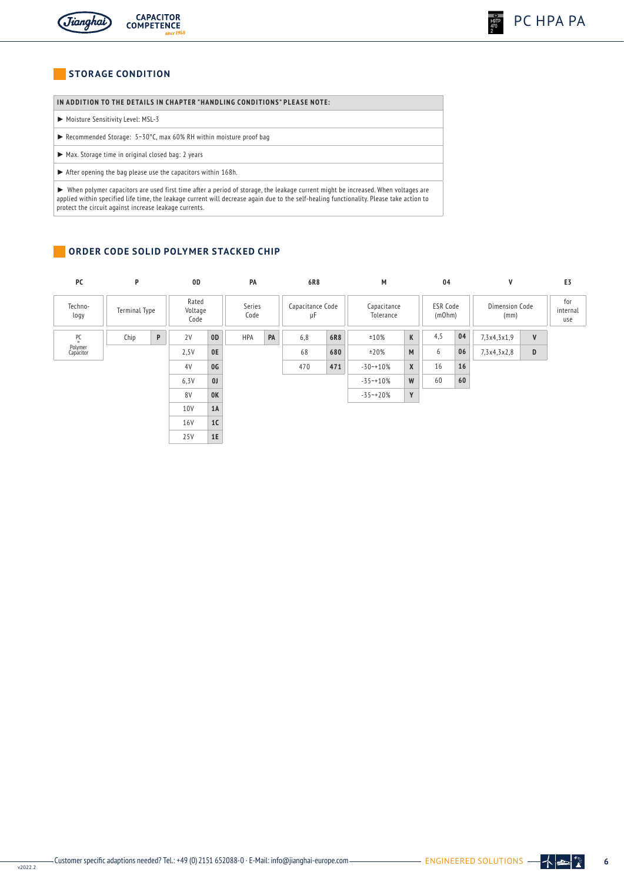

## **CAPACITOR COMPETENCE**

## **STORAGE CONDITION**

## IN ADDITION TO THE DETAILS IN CHAPTER "HANDLING CONDITIONS" PLEASE NOTE:

- ► Moisture Sensitivity Level: MSL-3
- ► Recommended Storage: 5~30°C, max 60% RH within moisture proof bag
- ► Max. Storage time in original closed bag: 2 years
- ► After opening the bag please use the capacitors within 168h.

► When polymer capacitors are used first time after a period of storage, the leakage current might be increased. When voltages are applied within specified life time, the leakage current will decrease again due to the self-healing functionality. Please take action to protect the circuit against increase leakage currents.

## **ORDER CODE SOLID POLYMER STACKED CHIP**

| PC                   | P                    |              | 0D                       |            | PA             |    |                        | 6R8 |                          | М            |                           |    | V                      |              | E3                     |
|----------------------|----------------------|--------------|--------------------------|------------|----------------|----|------------------------|-----|--------------------------|--------------|---------------------------|----|------------------------|--------------|------------------------|
| Techno-<br>logy      | <b>Terminal Type</b> |              | Rated<br>Voltage<br>Code |            | Series<br>Code |    | Capacitance Code<br>μF |     | Capacitance<br>Tolerance |              | <b>ESR Code</b><br>(mOhm) |    | Dimension Code<br>(mm) |              | for<br>internal<br>use |
| $PC$<br>$=$          | Chip                 | $\, {\sf p}$ | 2V                       | OD         | HPA            | PA | 6,8                    | 6R8 | ±10%                     | K            | 4,5                       | 04 | 7,3x4,3x1,9            | $\mathsf{V}$ |                        |
| Polymer<br>Capacitor |                      |              | 2,5V                     | 0E         |                |    | 68                     | 680 | ±20%                     | M            | 6                         | 06 | 7,3x4,3x2,8            | D            |                        |
|                      |                      |              | 4V                       | OG         |                |    | 470                    | 471 | $-30 - 10%$              | $\mathsf{X}$ | 16                        | 16 |                        |              |                        |
|                      |                      |              | 6,3V                     | $0$ J $\,$ |                |    |                        |     | $-35 - 10%$              | W            | 60                        | 60 |                        |              |                        |
|                      |                      |              | 8V                       | 0K         |                |    |                        |     | $-35 - +20%$             | Υ            |                           |    |                        |              |                        |
|                      |                      |              | 10V                      | 1A         |                |    |                        |     |                          |              |                           |    |                        |              |                        |
|                      |                      |              | 16V                      | 1C         |                |    |                        |     |                          |              |                           |    |                        |              |                        |
|                      |                      |              | 25V                      | 1E         |                |    |                        |     |                          |              |                           |    |                        |              |                        |

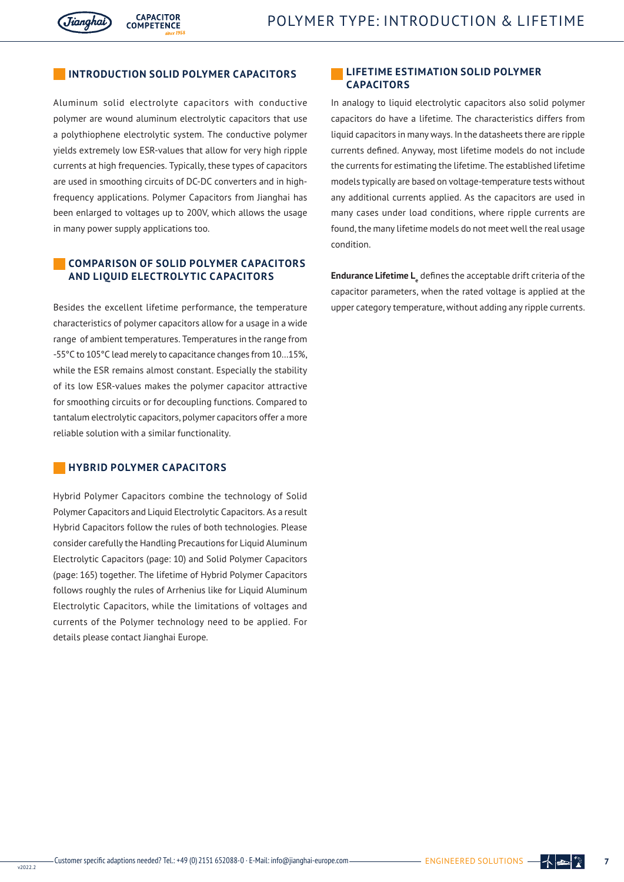## **INTRODUCTION INTRODUCTION SOLID POLYMER CAPACITORS**

**CAPACITOR** 

**COMPETENCE** 

Aluminum solid electrolyte capacitors with conductive polymer are wound aluminum electrolytic capacitors that use a polythiophene electrolytic system. The conductive polymer yields extremely low ESR-values that allow for very high ripple currents at high frequencies. Typically, these types of capacitors are used in smoothing circuits of DC-DC converters and in highfrequency applications. Polymer Capacitors from Jianghai has been enlarged to voltages up to 200V, which allows the usage in many power supply applications too.

## **COMPARISON OF SOLID POLYMER CAPACITORS AND LIQUID ELECTROLYTIC CAPACITORS**

Besides the excellent lifetime performance, the temperature characteristics of polymer capacitors allow for a usage in a wide range of ambient temperatures. Temperatures in the range from -55°C to 105°C lead merely to capacitance changes from 10…15%, while the ESR remains almost constant. Especially the stability of its low ESR-values makes the polymer capacitor attractive for smoothing circuits or for decoupling functions. Compared to tantalum electrolytic capacitors, polymer capacitors offer a more reliable solution with a similar functionality.

## **HYBRID POLYMER CAPACITORS**

Hybrid Polymer Capacitors combine the technology of Solid Polymer Capacitors and Liquid Electrolytic Capacitors. As a result Hybrid Capacitors follow the rules of both technologies. Please consider carefully the Handling Precautions for Liquid Aluminum Electrolytic Capacitors (page: 10) and Solid Polymer Capacitors (page: 165) together. The lifetime of Hybrid Polymer Capacitors follows roughly the rules of Arrhenius like for Liquid Aluminum Electrolytic Capacitors, while the limitations of voltages and currents of the Polymer technology need to be applied. For details please contact Jianghai Europe.

## **LIFETIME ESTIMATION SOLID POLYMER CAPACITORS**

In analogy to liquid electrolytic capacitors also solid polymer capacitors do have a lifetime. The characteristics differs from liquid capacitors in many ways. In the datasheets there are ripple currents defined. Anyway, most lifetime models do not include the currents for estimating the lifetime. The established lifetime models typically are based on voltage-temperature tests without any additional currents applied. As the capacitors are used in many cases under load conditions, where ripple currents are found, the many lifetime models do not meet well the real usage condition.

**Endurance Lifetime L**<sub>e</sub> defines the acceptable drift criteria of the capacitor parameters, when the rated voltage is applied at the upper category temperature, without adding any ripple currents.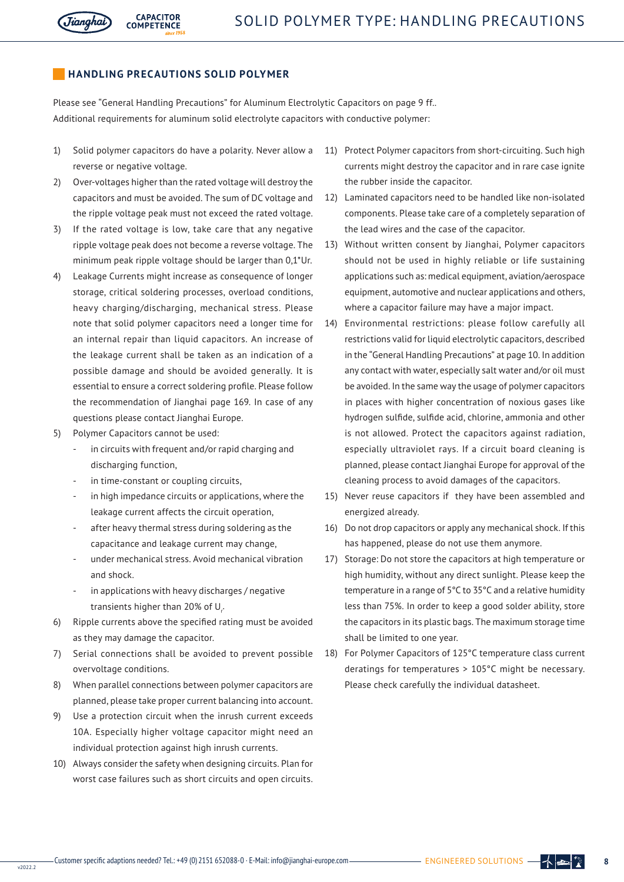

## **HANDLING PRECAUTIONS SOLID POLYMER**

**CAPACITOR** 

COMPETENCE

Please see "General Handling Precautions" for Aluminum Electrolytic Capacitors on page 9 ff.. Additional requirements for aluminum solid electrolyte capacitors with conductive polymer:

- 1) Solid polymer capacitors do have a polarity. Never allow a reverse or negative voltage.
- 2) Over-voltages higher than the rated voltage will destroy the capacitors and must be avoided. The sum of DC voltage and the ripple voltage peak must not exceed the rated voltage.
- 3) If the rated voltage is low, take care that any negative ripple voltage peak does not become a reverse voltage. The minimum peak ripple voltage should be larger than 0,1\*Ur.
- 4) Leakage Currents might increase as consequence of longer storage, critical soldering processes, overload conditions, heavy charging/discharging, mechanical stress. Please note that solid polymer capacitors need a longer time for an internal repair than liquid capacitors. An increase of the leakage current shall be taken as an indication of a possible damage and should be avoided generally. It is essential to ensure a correct soldering profile. Please follow the recommendation of Jianghai page 169. In case of any questions please contact Jianghai Europe.
- 5) Polymer Capacitors cannot be used:
	- in circuits with frequent and/or rapid charging and discharging function,
	- in time-constant or coupling circuits.
	- in high impedance circuits or applications, where the leakage current affects the circuit operation,
	- after heavy thermal stress during soldering as the capacitance and leakage current may change,
	- under mechanical stress. Avoid mechanical vibration and shock.
	- in applications with heavy discharges / negative transients higher than 20% of  $\sf{U}_r$ .
- 6) Ripple currents above the specified rating must be avoided as they may damage the capacitor.
- 7) Serial connections shall be avoided to prevent possible overvoltage conditions.
- 8) When parallel connections between polymer capacitors are planned, please take proper current balancing into account.
- 9) Use a protection circuit when the inrush current exceeds 10A. Especially higher voltage capacitor might need an individual protection against high inrush currents.
- 10) Always consider the safety when designing circuits. Plan for worst case failures such as short circuits and open circuits.
- 11) Protect Polymer capacitors from short-circuiting. Such high currents might destroy the capacitor and in rare case ignite the rubber inside the capacitor.
- 12) Laminated capacitors need to be handled like non-isolated components. Please take care of a completely separation of the lead wires and the case of the capacitor.
- 13) Without written consent by Jianghai, Polymer capacitors should not be used in highly reliable or life sustaining applications such as: medical equipment, aviation/aerospace equipment, automotive and nuclear applications and others, where a capacitor failure may have a major impact.
- 14) Environmental restrictions: please follow carefully all restrictions valid for liquid electrolytic capacitors, described in the "General Handling Precautions" at page 10. In addition any contact with water, especially salt water and/or oil must be avoided. In the same way the usage of polymer capacitors in places with higher concentration of noxious gases like hydrogen sulfide, sulfide acid, chlorine, ammonia and other is not allowed. Protect the capacitors against radiation, especially ultraviolet rays. If a circuit board cleaning is planned, please contact Jianghai Europe for approval of the cleaning process to avoid damages of the capacitors.
- 15) Never reuse capacitors if they have been assembled and energized already.
- 16) Do not drop capacitors or apply any mechanical shock. If this has happened, please do not use them anymore.
- 17) Storage: Do not store the capacitors at high temperature or high humidity, without any direct sunlight. Please keep the temperature in a range of 5°C to 35°C and a relative humidity less than 75%. In order to keep a good solder ability, store the capacitors in its plastic bags. The maximum storage time shall be limited to one year.
- 18) For Polymer Capacitors of 125°C temperature class current deratings for temperatures > 105°C might be necessary. Please check carefully the individual datasheet.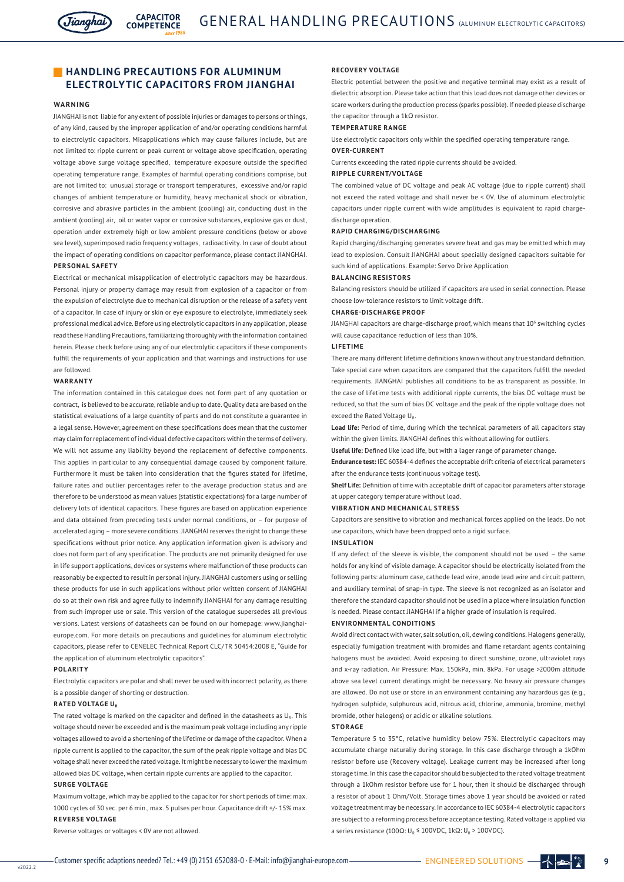

## **HANDLING PRECAUTIONS FOR ALUMINUM ELECTROLYTIC CAPACITORS FROM JIANGHAI**

**CAPACITOR** 

**COMPETENCE** 

#### **WARNING**

JIANGHAI is not liable for any extent of possible injuries or damages to persons or things, of any kind, caused by the improper application of and/or operating conditions harmful to electrolytic capacitors. Misapplications which may cause failures include, but are not limited to: ripple current or peak current or voltage above specification, operating voltage above surge voltage specified, temperature exposure outside the specified operating temperature range. Examples of harmful operating conditions comprise, but are not limited to: unusual storage or transport temperatures, excessive and/or rapid changes of ambient temperature or humidity, heavy mechanical shock or vibration, corrosive and abrasive particles in the ambient (cooling) air, conducting dust in the ambient (cooling) air, oil or water vapor or corrosive substances, explosive gas or dust, operation under extremely high or low ambient pressure conditions (below or above sea level), superimposed radio frequency voltages, radioactivity. In case of doubt about the impact of operating conditions on capacitor performance, please contact JIANGHAI. **PERSONAL SAFETY**

Electrical or mechanical misapplication of electrolytic capacitors may be hazardous. Personal injury or property damage may result from explosion of a capacitor or from the expulsion of electrolyte due to mechanical disruption or the release of a safety vent of a capacitor. In case of injury or skin or eye exposure to electrolyte, immediately seek professional medical advice. Before using electrolytic capacitors in any application, please read these Handling Precautions, familiarizing thoroughly with the information contained herein. Please check before using any of our electrolytic capacitors if these components fulfill the requirements of your application and that warnings and instructions for use are followed.

#### **WARRANTY**

The information contained in this catalogue does not form part of any quotation or contract, is believed to be accurate, reliable and up to date. Quality data are based on the statistical evaluations of a large quantity of parts and do not constitute a guarantee in a legal sense. However, agreement on these specifications does mean that the customer may claim for replacement of individual defective capacitors within the terms of delivery. We will not assume any liability beyond the replacement of defective components. This applies in particular to any consequential damage caused by component failure. Furthermore it must be taken into consideration that the figures stated for lifetime, failure rates and outlier percentages refer to the average production status and are therefore to be understood as mean values (statistic expectations) for a large number of delivery lots of identical capacitors. These figures are based on application experience and data obtained from preceding tests under normal conditions, or – for purpose of accelerated aging – more severe conditions. JIANGHAI reserves the right to change these specifications without prior notice. Any application information given is advisory and does not form part of any specification. The products are not primarily designed for use in life support applications, devices or systems where malfunction of these products can reasonably be expected to result in personal injury. JIANGHAI customers using or selling these products for use in such applications without prior written consent of JIANGHAI do so at their own risk and agree fully to indemnify JIANGHAI for any damage resulting from such improper use or sale. This version of the catalogue supersedes all previous versions. Latest versions of datasheets can be found on our homepage: www.jianghaieurope.com. For more details on precautions and guidelines for aluminum electrolytic capacitors, please refer to CENELEC Technical Report CLC/TR 50454:2008 E, "Guide for the application of aluminum electrolytic capacitors".

#### **POLARITY**

Electrolytic capacitors are polar and shall never be used with incorrect polarity, as there is a possible danger of shorting or destruction.

#### **RATED VOLTAGE U.**

The rated voltage is marked on the capacitor and defined in the datasheets as U<sub>n</sub>. This voltage should never be exceeded and is the maximum peak voltage including any ripple voltages allowed to avoid a shortening of the lifetime or damage of the capacitor. When a ripple current is applied to the capacitor, the sum of the peak ripple voltage and bias DC voltage shall never exceed the rated voltage. It might be necessary to lower the maximum allowed bias DC voltage, when certain ripple currents are applied to the capacitor. **SURGE VOLTAGE**

Maximum voltage, which may be applied to the capacitor for short periods of time: max. 1000 cycles of 30 sec. per 6 min., max. 5 pulses per hour. Capacitance drift +/- 15% max. **REVERSE VOLTAGE**

Reverse voltages or voltages < 0V are not allowed.

#### **RECOVERY VOLTAGE**

Electric potential between the positive and negative terminal may exist as a result of dielectric absorption. Please take action that this load does not damage other devices or scare workers during the production process (sparks possible). If needed please discharge the capacitor through a 1kΩ resistor.

#### **TEMPERATURE RANGE**

Use electrolytic capacitors only within the specified operating temperature range.

## **OVER-CURRENT**

Currents exceeding the rated ripple currents should be avoided.

#### **RIPPLE CURRENT/VOLTAGE**

The combined value of DC voltage and peak AC voltage (due to ripple current) shall not exceed the rated voltage and shall never be < 0V. Use of aluminum electrolytic capacitors under ripple current with wide amplitudes is equivalent to rapid chargedischarge operation.

#### **RAPID CHARGING/DISCHARGING**

Rapid charging/discharging generates severe heat and gas may be emitted which may lead to explosion. Consult JIANGHAI about specially designed capacitors suitable for such kind of applications. Example: Servo Drive Application

#### **BALANCING RESISTORS**

Balancing resistors should be utilized if capacitors are used in serial connection. Please choose low-tolerance resistors to limit voltage drift.

#### **CHARGE-DISCHARGE PROOF**

JIANGHAI capacitors are charge-discharge proof, which means that 10<sup>6</sup> switching cycles will cause capacitance reduction of less than 10%.

#### **LIFETIME**

There are many different lifetime definitions known without any true standard definition. Take special care when capacitors are compared that the capacitors fulfill the needed requirements. JIANGHAI publishes all conditions to be as transparent as possible. In the case of lifetime tests with additional ripple currents, the bias DC voltage must be reduced, so that the sum of bias DC voltage and the peak of the ripple voltage does not exceed the Rated Voltage U<sub>p</sub>.

**Load life:** Period of time, during which the technical parameters of all capacitors stay within the given limits. JIANGHAI defines this without allowing for outliers.

**Useful life:** Defined like load life, but with a lager range of parameter change.

**Endurance test:** IEC 60384-4 defines the acceptable drift criteria of electrical parameters after the endurance tests (continuous voltage test).

**Shelf Life:** Definition of time with acceptable drift of capacitor parameters after storage at upper category temperature without load.

#### **VIBRATION AND MECHANICAL STRESS**

Capacitors are sensitive to vibration and mechanical forces applied on the leads. Do not use capacitors, which have been dropped onto a rigid surface.

#### **INSULATION**

If any defect of the sleeve is visible, the component should not be used – the same holds for any kind of visible damage. A capacitor should be electrically isolated from the following parts: aluminum case, cathode lead wire, anode lead wire and circuit pattern, and auxiliary terminal of snap-in type. The sleeve is not recognized as an isolator and therefore the standard capacitor should not be used in a place where insulation function is needed. Please contact JIANGHAI if a higher grade of insulation is required.

#### **ENVIRONMENTAL CONDITIONS**

Avoid direct contact with water, salt solution, oil, dewing conditions. Halogens generally, especially fumigation treatment with bromides and flame retardant agents containing halogens must be avoided. Avoid exposing to direct sunshine, ozone, ultraviolet rays and x-ray radiation. Air Pressure: Max. 150kPa, min. 8kPa. For usage >2000m altitude above sea level current deratings might be necessary. No heavy air pressure changes are allowed. Do not use or store in an environment containing any hazardous gas (e.g., hydrogen sulphide, sulphurous acid, nitrous acid, chlorine, ammonia, bromine, methyl bromide, other halogens) or acidic or alkaline solutions.

#### **STORAGE**

Temperature 5 to 35°C, relative humidity below 75%. Electrolytic capacitors may accumulate charge naturally during storage. In this case discharge through a 1kOhm resistor before use (Recovery voltage). Leakage current may be increased after long storage time. In this case the capacitor should be subjected to the rated voltage treatment through a 1kOhm resistor before use for 1 hour, then it should be discharged through a resistor of about 1 Ohm/Volt. Storage times above 1 year should be avoided or rated voltage treatment may be necessary. In accordance to IEC 60384-4 electrolytic capacitors are subject to a reforming process before acceptance testing. Rated voltage is applied via a series resistance (100Ω: U<sub>R</sub>  $\leq$  100VDC, 1kΩ: U<sub>R</sub> > 100VDC).